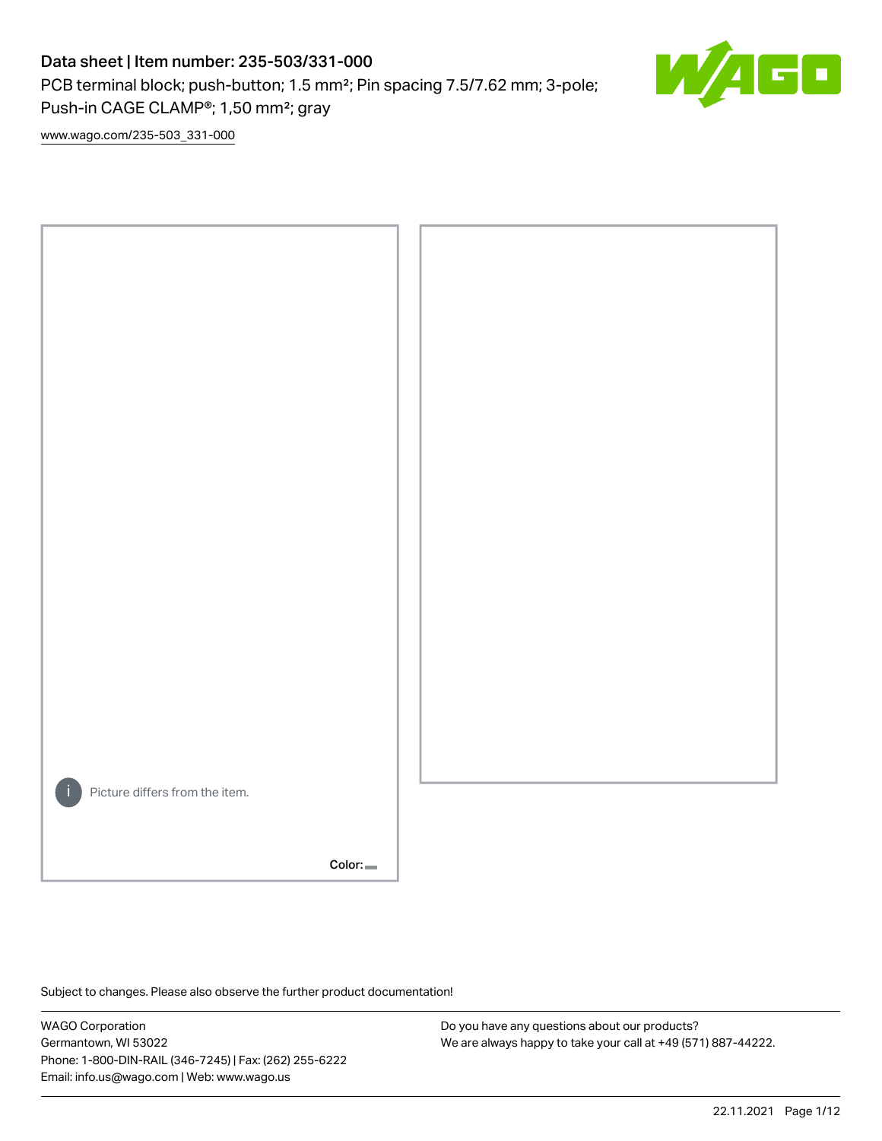PCB terminal block; push-button; 1.5 mm²; Pin spacing 7.5/7.62 mm; 3-pole; Push-in CAGE CLAMP®; 1,50 mm²; gray



[www.wago.com/235-503\\_331-000](http://www.wago.com/235-503_331-000)



Subject to changes. Please also observe the further product documentation!

WAGO Corporation Germantown, WI 53022 Phone: 1-800-DIN-RAIL (346-7245) | Fax: (262) 255-6222 Email: info.us@wago.com | Web: www.wago.us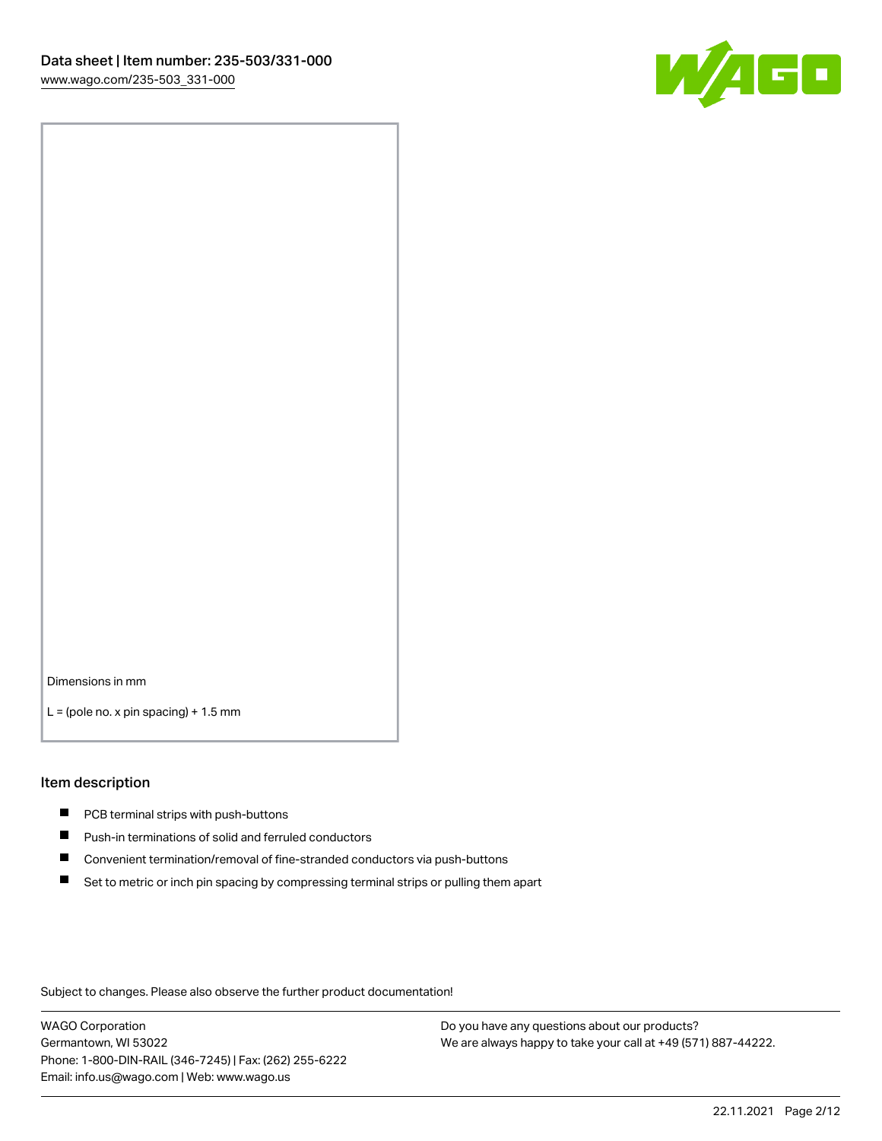

Dimensions in mm

 $L =$  (pole no. x pin spacing) + 1.5 mm

#### Item description

- **PCB terminal strips with push-buttons**
- **Push-in terminations of solid and ferruled conductors**
- $\blacksquare$ Convenient termination/removal of fine-stranded conductors via push-buttons
- Set to metric or inch pin spacing by compressing terminal strips or pulling them apart

Subject to changes. Please also observe the further product documentation!

WAGO Corporation Germantown, WI 53022 Phone: 1-800-DIN-RAIL (346-7245) | Fax: (262) 255-6222 Email: info.us@wago.com | Web: www.wago.us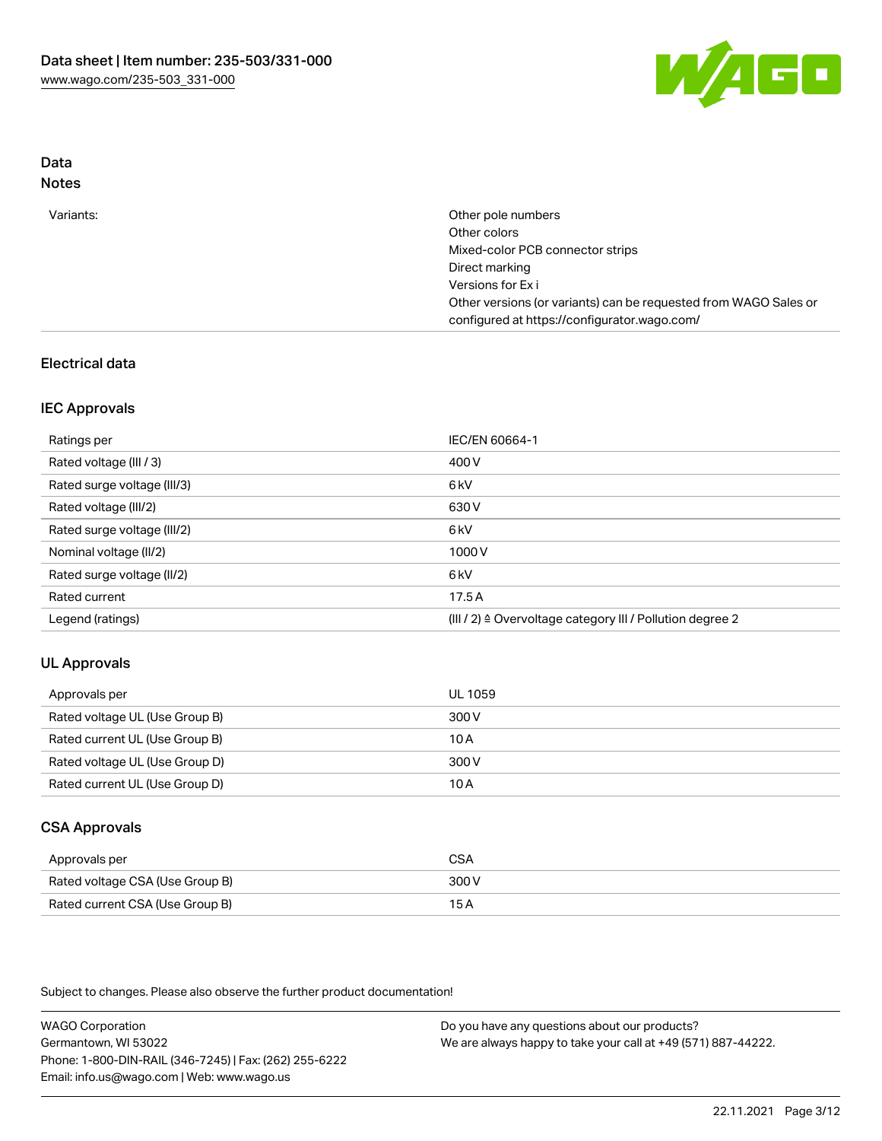

# Data

| Variants: | Other pole numbers                                               |
|-----------|------------------------------------------------------------------|
|           | Other colors                                                     |
|           | Mixed-color PCB connector strips                                 |
|           | Direct marking                                                   |
|           | Versions for Exi                                                 |
|           | Other versions (or variants) can be requested from WAGO Sales or |
|           | configured at https://configurator.wago.com/                     |

## Electrical data

### IEC Approvals

| Ratings per                 | IEC/EN 60664-1                                                        |
|-----------------------------|-----------------------------------------------------------------------|
| Rated voltage (III / 3)     | 400 V                                                                 |
| Rated surge voltage (III/3) | 6 <sub>kV</sub>                                                       |
| Rated voltage (III/2)       | 630 V                                                                 |
| Rated surge voltage (III/2) | 6 kV                                                                  |
| Nominal voltage (II/2)      | 1000 V                                                                |
| Rated surge voltage (II/2)  | 6 kV                                                                  |
| Rated current               | 17.5A                                                                 |
| Legend (ratings)            | $(III / 2)$ $\triangle$ Overvoltage category III / Pollution degree 2 |

#### UL Approvals

| Approvals per                  | UL 1059 |
|--------------------------------|---------|
| Rated voltage UL (Use Group B) | 300 V   |
| Rated current UL (Use Group B) | 10 A    |
| Rated voltage UL (Use Group D) | 300 V   |
| Rated current UL (Use Group D) | 10 A    |

# CSA Approvals

| Approvals per                   | CSA   |
|---------------------------------|-------|
| Rated voltage CSA (Use Group B) | 300 V |
| Rated current CSA (Use Group B) | 15 A  |

Subject to changes. Please also observe the further product documentation!

WAGO Corporation Germantown, WI 53022 Phone: 1-800-DIN-RAIL (346-7245) | Fax: (262) 255-6222 Email: info.us@wago.com | Web: www.wago.us Do you have any questions about our products?

We are always happy to take your call at +49 (571) 887-44222.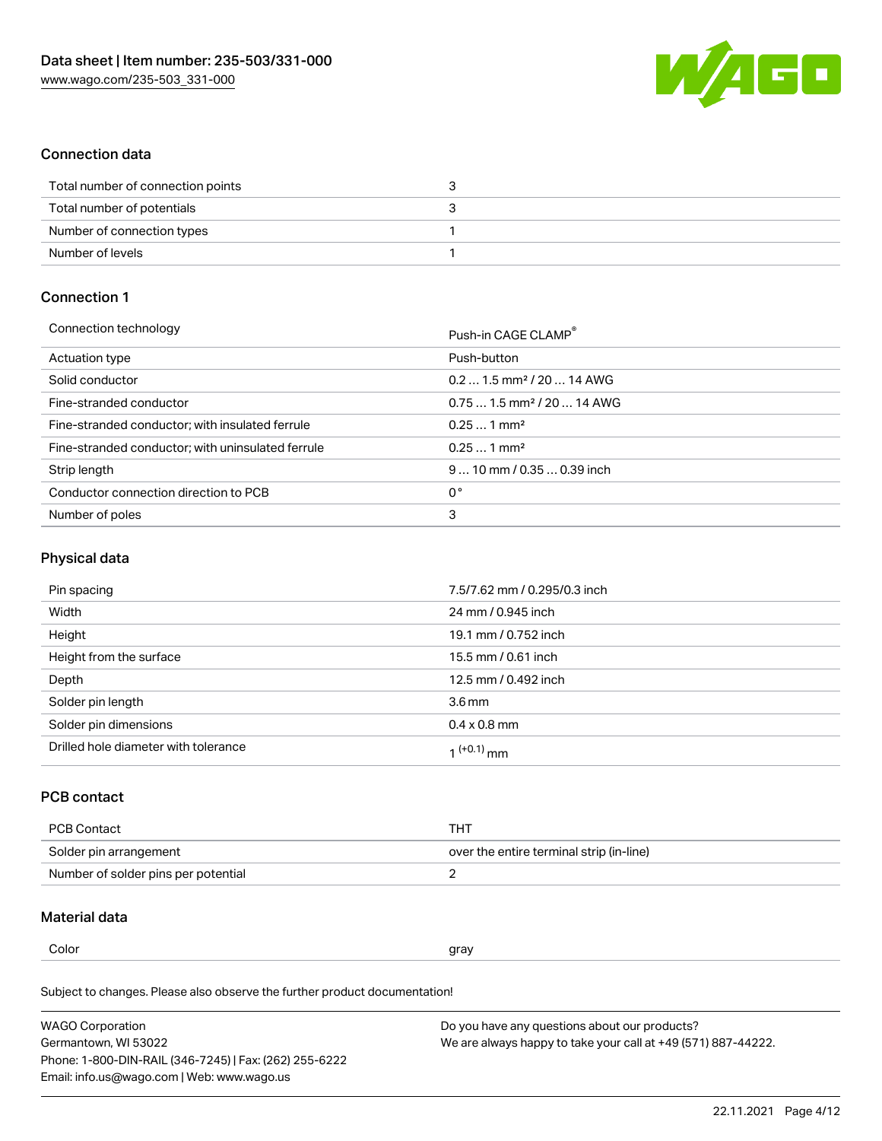

### Connection data

| Total number of connection points |  |
|-----------------------------------|--|
| Total number of potentials        |  |
| Number of connection types        |  |
| Number of levels                  |  |

# Connection 1

| Connection technology                             | Push-in CAGE CLAMP®                     |
|---------------------------------------------------|-----------------------------------------|
| Actuation type                                    | Push-button                             |
| Solid conductor                                   | $0.21.5$ mm <sup>2</sup> / 20  14 AWG   |
| Fine-stranded conductor                           | $0.75$ 1.5 mm <sup>2</sup> / 20  14 AWG |
| Fine-stranded conductor; with insulated ferrule   | $0.251$ mm <sup>2</sup>                 |
| Fine-stranded conductor; with uninsulated ferrule | $0.251$ mm <sup>2</sup>                 |
| Strip length                                      | $910$ mm / 0.35  0.39 inch              |
| Conductor connection direction to PCB             | 0°                                      |
| Number of poles                                   | 3                                       |
|                                                   |                                         |

# Physical data

| Pin spacing                          | 7.5/7.62 mm / 0.295/0.3 inch |
|--------------------------------------|------------------------------|
| Width                                | 24 mm / 0.945 inch           |
| Height                               | 19.1 mm / 0.752 inch         |
| Height from the surface              | 15.5 mm / 0.61 inch          |
| Depth                                | 12.5 mm / 0.492 inch         |
| Solder pin length                    | 3.6 <sub>mm</sub>            |
| Solder pin dimensions                | $0.4 \times 0.8$ mm          |
| Drilled hole diameter with tolerance | 1 <sup>(+0.1)</sup> mm       |

# PCB contact

| PCB Contact                         | THT                                      |
|-------------------------------------|------------------------------------------|
| Solder pin arrangement              | over the entire terminal strip (in-line) |
| Number of solder pins per potential |                                          |

#### Material data

Color and the color of the color of the color of the color of the color of the color of the color of the color

Subject to changes. Please also observe the further product documentation! Material group I

| <b>WAGO Corporation</b>                                | Do you have any questions about our products?                 |
|--------------------------------------------------------|---------------------------------------------------------------|
| Germantown, WI 53022                                   | We are always happy to take your call at +49 (571) 887-44222. |
| Phone: 1-800-DIN-RAIL (346-7245)   Fax: (262) 255-6222 |                                                               |
| Email: info.us@wago.com   Web: www.wago.us             |                                                               |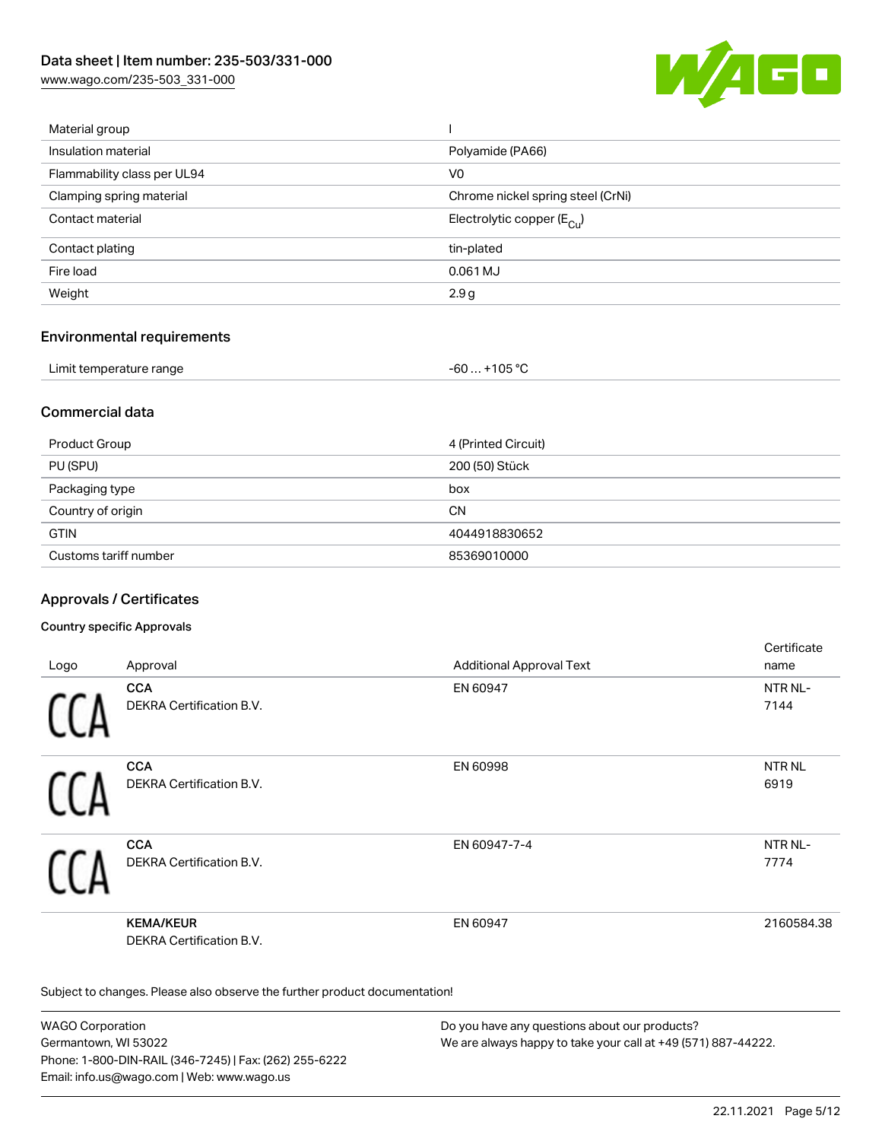[www.wago.com/235-503\\_331-000](http://www.wago.com/235-503_331-000)



| Material group              |                                       |
|-----------------------------|---------------------------------------|
| Insulation material         | Polyamide (PA66)                      |
| Flammability class per UL94 | V <sub>0</sub>                        |
| Clamping spring material    | Chrome nickel spring steel (CrNi)     |
| Contact material            | Electrolytic copper $(E_{\text{Cl}})$ |
| Contact plating             | tin-plated                            |
| Fire load                   | 0.061 MJ                              |
| Weight                      | 2.9g                                  |
|                             |                                       |

#### Environmental requirements

| Limit temperature range | $. +105 °C$ |
|-------------------------|-------------|
| .                       | -60         |

### Commercial data

| Product Group         | 4 (Printed Circuit) |
|-----------------------|---------------------|
| PU (SPU)              | 200 (50) Stück      |
| Packaging type        | box                 |
| Country of origin     | <b>CN</b>           |
| <b>GTIN</b>           | 4044918830652       |
| Customs tariff number | 85369010000         |

## Approvals / Certificates

#### Country specific Approvals

|      |                                                     |                                 | Certificate   |
|------|-----------------------------------------------------|---------------------------------|---------------|
| Logo | Approval                                            | <b>Additional Approval Text</b> | name          |
|      | <b>CCA</b>                                          | EN 60947                        | NTR NL-       |
|      | <b>DEKRA Certification B.V.</b>                     |                                 | 7144          |
|      | <b>CCA</b>                                          | EN 60998                        | <b>NTR NL</b> |
|      | DEKRA Certification B.V.                            |                                 | 6919          |
|      | <b>CCA</b>                                          | EN 60947-7-4                    | NTR NL-       |
|      | <b>DEKRA Certification B.V.</b>                     |                                 | 7774          |
|      | <b>KEMA/KEUR</b><br><b>DEKRA Certification B.V.</b> | EN 60947                        | 2160584.38    |

Subject to changes. Please also observe the further product documentation!

WAGO Corporation Germantown, WI 53022 Phone: 1-800-DIN-RAIL (346-7245) | Fax: (262) 255-6222 Email: info.us@wago.com | Web: www.wago.us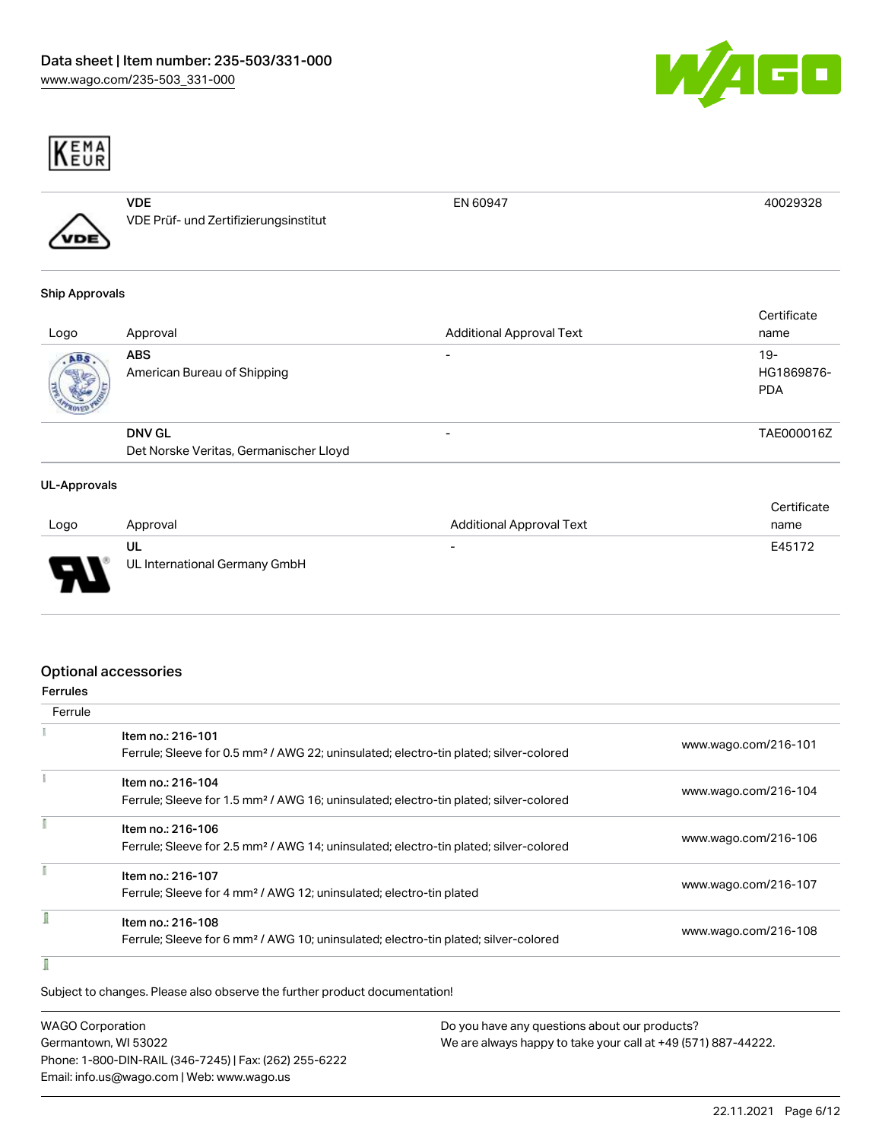



| VDE                                   | EN 60947 |  |
|---------------------------------------|----------|--|
| VDE Prüf- und Zertifizierungsinstitut |          |  |
|                                       |          |  |

#### Ship Approvals

| Logo | Approval                                  | <b>Additional Approval Text</b> | Certificate<br>name               |
|------|-------------------------------------------|---------------------------------|-----------------------------------|
| ABS. | <b>ABS</b><br>American Bureau of Shipping |                                 | $19-$<br>HG1869876-<br><b>PDA</b> |
|      | <b>DNV GL</b>                             | -                               | TAE000016Z                        |
|      | Det Norske Veritas, Germanischer Lloyd    |                                 |                                   |

#### UL-Approvals

|      |                               |                          | Certificate |
|------|-------------------------------|--------------------------|-------------|
| Logo | Approval                      | Additional Approval Text | name        |
|      | UL                            | $\overline{\phantom{a}}$ | E45172      |
| Б    | UL International Germany GmbH |                          |             |

### Optional accessories

| Ferrule |                                                                                                                        |                      |
|---------|------------------------------------------------------------------------------------------------------------------------|----------------------|
|         | Item no.: 216-101<br>Ferrule; Sleeve for 0.5 mm <sup>2</sup> / AWG 22; uninsulated; electro-tin plated; silver-colored | www.wago.com/216-101 |
|         |                                                                                                                        |                      |
|         | Item no.: 216-104                                                                                                      | www.wago.com/216-104 |
|         | Ferrule; Sleeve for 1.5 mm <sup>2</sup> / AWG 16; uninsulated; electro-tin plated; silver-colored                      |                      |
|         | Item no.: 216-106                                                                                                      |                      |
|         | Ferrule; Sleeve for 2.5 mm <sup>2</sup> / AWG 14; uninsulated; electro-tin plated; silver-colored                      | www.wago.com/216-106 |
|         | Item no.: 216-107                                                                                                      |                      |
|         | Ferrule; Sleeve for 4 mm <sup>2</sup> / AWG 12; uninsulated; electro-tin plated                                        | www.wago.com/216-107 |
|         | Item no.: 216-108                                                                                                      |                      |
|         | Ferrule; Sleeve for 6 mm <sup>2</sup> / AWG 10; uninsulated; electro-tin plated; silver-colored                        | www.wago.com/216-108 |
|         |                                                                                                                        |                      |

Subject to changes. Please also observe the further product documentation!

| <b>WAGO Corporation</b>                                | Do you have any questions about our products?                 |
|--------------------------------------------------------|---------------------------------------------------------------|
| Germantown, WI 53022                                   | We are always happy to take your call at +49 (571) 887-44222. |
| Phone: 1-800-DIN-RAIL (346-7245)   Fax: (262) 255-6222 |                                                               |
| Email: info.us@wago.com   Web: www.wago.us             |                                                               |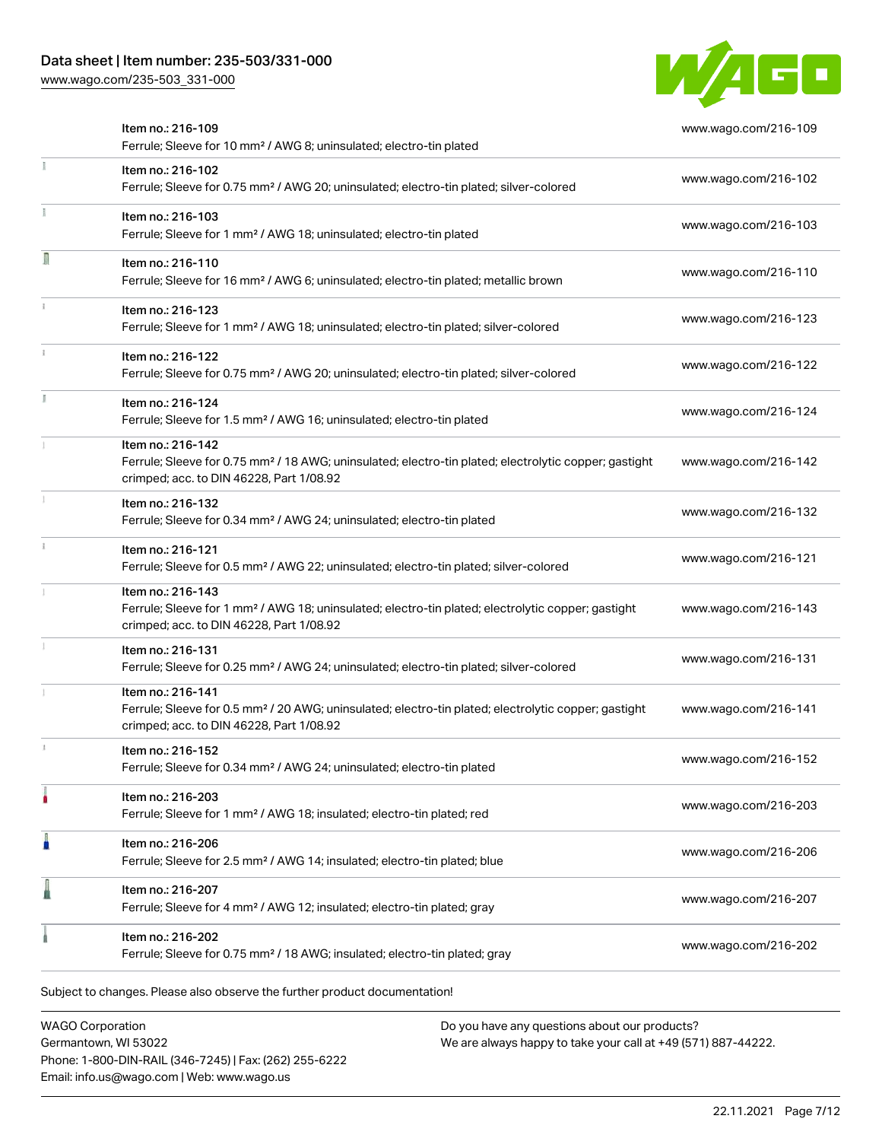[www.wago.com/235-503\\_331-000](http://www.wago.com/235-503_331-000)



|    | Item no.: 216-109<br>Ferrule; Sleeve for 10 mm <sup>2</sup> / AWG 8; uninsulated; electro-tin plated                                                                               | www.wago.com/216-109 |
|----|------------------------------------------------------------------------------------------------------------------------------------------------------------------------------------|----------------------|
|    | Item no.: 216-102<br>Ferrule; Sleeve for 0.75 mm <sup>2</sup> / AWG 20; uninsulated; electro-tin plated; silver-colored                                                            | www.wago.com/216-102 |
|    | Item no.: 216-103<br>Ferrule; Sleeve for 1 mm <sup>2</sup> / AWG 18; uninsulated; electro-tin plated                                                                               | www.wago.com/216-103 |
| Л  | Item no.: 216-110<br>Ferrule; Sleeve for 16 mm <sup>2</sup> / AWG 6; uninsulated; electro-tin plated; metallic brown                                                               | www.wago.com/216-110 |
|    | Item no.: 216-123<br>Ferrule; Sleeve for 1 mm <sup>2</sup> / AWG 18; uninsulated; electro-tin plated; silver-colored                                                               | www.wago.com/216-123 |
|    | Item no.: 216-122<br>Ferrule; Sleeve for 0.75 mm <sup>2</sup> / AWG 20; uninsulated; electro-tin plated; silver-colored                                                            | www.wago.com/216-122 |
| J. | Item no.: 216-124<br>Ferrule; Sleeve for 1.5 mm <sup>2</sup> / AWG 16; uninsulated; electro-tin plated                                                                             | www.wago.com/216-124 |
|    | Item no.: 216-142<br>Ferrule; Sleeve for 0.75 mm <sup>2</sup> / 18 AWG; uninsulated; electro-tin plated; electrolytic copper; gastight<br>crimped; acc. to DIN 46228, Part 1/08.92 | www.wago.com/216-142 |
|    | Item no.: 216-132<br>Ferrule; Sleeve for 0.34 mm <sup>2</sup> / AWG 24; uninsulated; electro-tin plated                                                                            | www.wago.com/216-132 |
|    | Item no.: 216-121<br>Ferrule; Sleeve for 0.5 mm <sup>2</sup> / AWG 22; uninsulated; electro-tin plated; silver-colored                                                             | www.wago.com/216-121 |
|    | Item no.: 216-143<br>Ferrule; Sleeve for 1 mm <sup>2</sup> / AWG 18; uninsulated; electro-tin plated; electrolytic copper; gastight<br>crimped; acc. to DIN 46228, Part 1/08.92    | www.wago.com/216-143 |
|    | Item no.: 216-131<br>Ferrule; Sleeve for 0.25 mm <sup>2</sup> / AWG 24; uninsulated; electro-tin plated; silver-colored                                                            | www.wago.com/216-131 |
|    | Item no.: 216-141<br>Ferrule; Sleeve for 0.5 mm <sup>2</sup> / 20 AWG; uninsulated; electro-tin plated; electrolytic copper; gastight<br>crimped; acc. to DIN 46228, Part 1/08.92  | www.wago.com/216-141 |
|    | Item no.: 216-152<br>Ferrule; Sleeve for 0.34 mm <sup>2</sup> / AWG 24; uninsulated; electro-tin plated                                                                            | www.wago.com/216-152 |
|    | Item no.: 216-203<br>Ferrule; Sleeve for 1 mm <sup>2</sup> / AWG 18; insulated; electro-tin plated; red                                                                            | www.wago.com/216-203 |
| Ä  | Item no.: 216-206<br>Ferrule; Sleeve for 2.5 mm <sup>2</sup> / AWG 14; insulated; electro-tin plated; blue                                                                         | www.wago.com/216-206 |
|    | Item no.: 216-207<br>Ferrule; Sleeve for 4 mm <sup>2</sup> / AWG 12; insulated; electro-tin plated; gray                                                                           | www.wago.com/216-207 |
|    | Item no.: 216-202<br>Ferrule; Sleeve for 0.75 mm <sup>2</sup> / 18 AWG; insulated; electro-tin plated; gray                                                                        | www.wago.com/216-202 |

WAGO Corporation Germantown, WI 53022 Phone: 1-800-DIN-RAIL (346-7245) | Fax: (262) 255-6222 Email: info.us@wago.com | Web: www.wago.us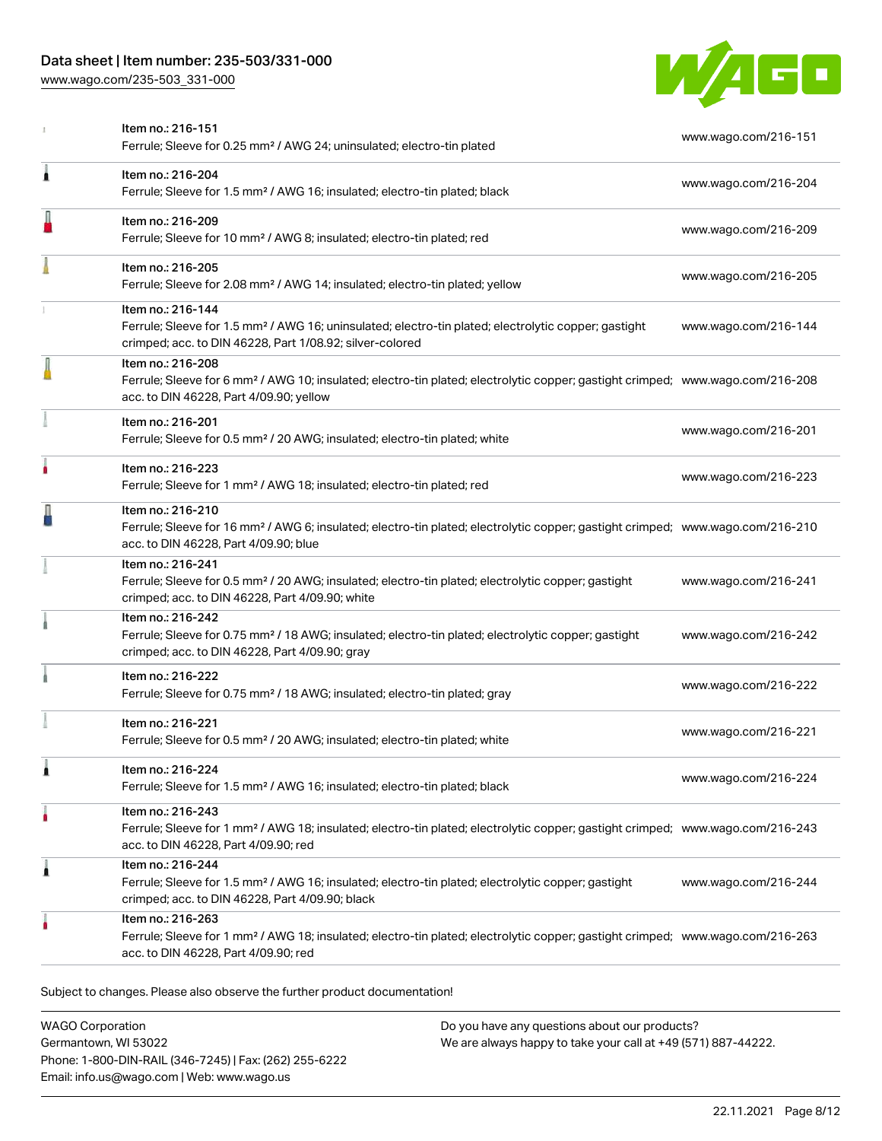[www.wago.com/235-503\\_331-000](http://www.wago.com/235-503_331-000)



|   | Item no.: 216-151<br>Ferrule; Sleeve for 0.25 mm <sup>2</sup> / AWG 24; uninsulated; electro-tin plated                                                                                                    | www.wago.com/216-151 |
|---|------------------------------------------------------------------------------------------------------------------------------------------------------------------------------------------------------------|----------------------|
| 1 | Item no.: 216-204<br>Ferrule; Sleeve for 1.5 mm <sup>2</sup> / AWG 16; insulated; electro-tin plated; black                                                                                                | www.wago.com/216-204 |
|   | Item no.: 216-209<br>Ferrule; Sleeve for 10 mm <sup>2</sup> / AWG 8; insulated; electro-tin plated; red                                                                                                    | www.wago.com/216-209 |
|   | Item no.: 216-205<br>Ferrule; Sleeve for 2.08 mm <sup>2</sup> / AWG 14; insulated; electro-tin plated; yellow                                                                                              | www.wago.com/216-205 |
|   | Item no.: 216-144<br>Ferrule; Sleeve for 1.5 mm <sup>2</sup> / AWG 16; uninsulated; electro-tin plated; electrolytic copper; gastight<br>crimped; acc. to DIN 46228, Part 1/08.92; silver-colored          | www.wago.com/216-144 |
|   | Item no.: 216-208<br>Ferrule; Sleeve for 6 mm <sup>2</sup> / AWG 10; insulated; electro-tin plated; electrolytic copper; gastight crimped; www.wago.com/216-208<br>acc. to DIN 46228, Part 4/09.90; yellow |                      |
|   | Item no.: 216-201<br>Ferrule; Sleeve for 0.5 mm <sup>2</sup> / 20 AWG; insulated; electro-tin plated; white                                                                                                | www.wago.com/216-201 |
| ۸ | Item no.: 216-223<br>Ferrule; Sleeve for 1 mm <sup>2</sup> / AWG 18; insulated; electro-tin plated; red                                                                                                    | www.wago.com/216-223 |
|   | Item no.: 216-210<br>Ferrule; Sleeve for 16 mm <sup>2</sup> / AWG 6; insulated; electro-tin plated; electrolytic copper; gastight crimped; www.wago.com/216-210<br>acc. to DIN 46228, Part 4/09.90; blue   |                      |
|   | Item no.: 216-241<br>Ferrule; Sleeve for 0.5 mm <sup>2</sup> / 20 AWG; insulated; electro-tin plated; electrolytic copper; gastight<br>crimped; acc. to DIN 46228, Part 4/09.90; white                     | www.wago.com/216-241 |
|   | Item no.: 216-242<br>Ferrule; Sleeve for 0.75 mm <sup>2</sup> / 18 AWG; insulated; electro-tin plated; electrolytic copper; gastight<br>crimped; acc. to DIN 46228, Part 4/09.90; gray                     | www.wago.com/216-242 |
|   | Item no.: 216-222<br>Ferrule; Sleeve for 0.75 mm <sup>2</sup> / 18 AWG; insulated; electro-tin plated; gray                                                                                                | www.wago.com/216-222 |
|   | Item no.: 216-221<br>Ferrule; Sleeve for 0.5 mm <sup>2</sup> / 20 AWG; insulated; electro-tin plated; white                                                                                                | www.wago.com/216-221 |
| 1 | ltem no.: 216-224<br>Ferrule; Sleeve for 1.5 mm <sup>2</sup> / AWG 16; insulated; electro-tin plated; black                                                                                                | www.wago.com/216-224 |
| ۸ | Item no.: 216-243<br>Ferrule; Sleeve for 1 mm <sup>2</sup> / AWG 18; insulated; electro-tin plated; electrolytic copper; gastight crimped; www.wago.com/216-243<br>acc. to DIN 46228, Part 4/09.90; red    |                      |
| 1 | Item no.: 216-244<br>Ferrule; Sleeve for 1.5 mm <sup>2</sup> / AWG 16; insulated; electro-tin plated; electrolytic copper; gastight<br>crimped; acc. to DIN 46228, Part 4/09.90; black                     | www.wago.com/216-244 |
| ۵ | Item no.: 216-263<br>Ferrule; Sleeve for 1 mm <sup>2</sup> / AWG 18; insulated; electro-tin plated; electrolytic copper; gastight crimped; www.wago.com/216-263<br>acc. to DIN 46228, Part 4/09.90; red    |                      |

WAGO Corporation Germantown, WI 53022 Phone: 1-800-DIN-RAIL (346-7245) | Fax: (262) 255-6222 Email: info.us@wago.com | Web: www.wago.us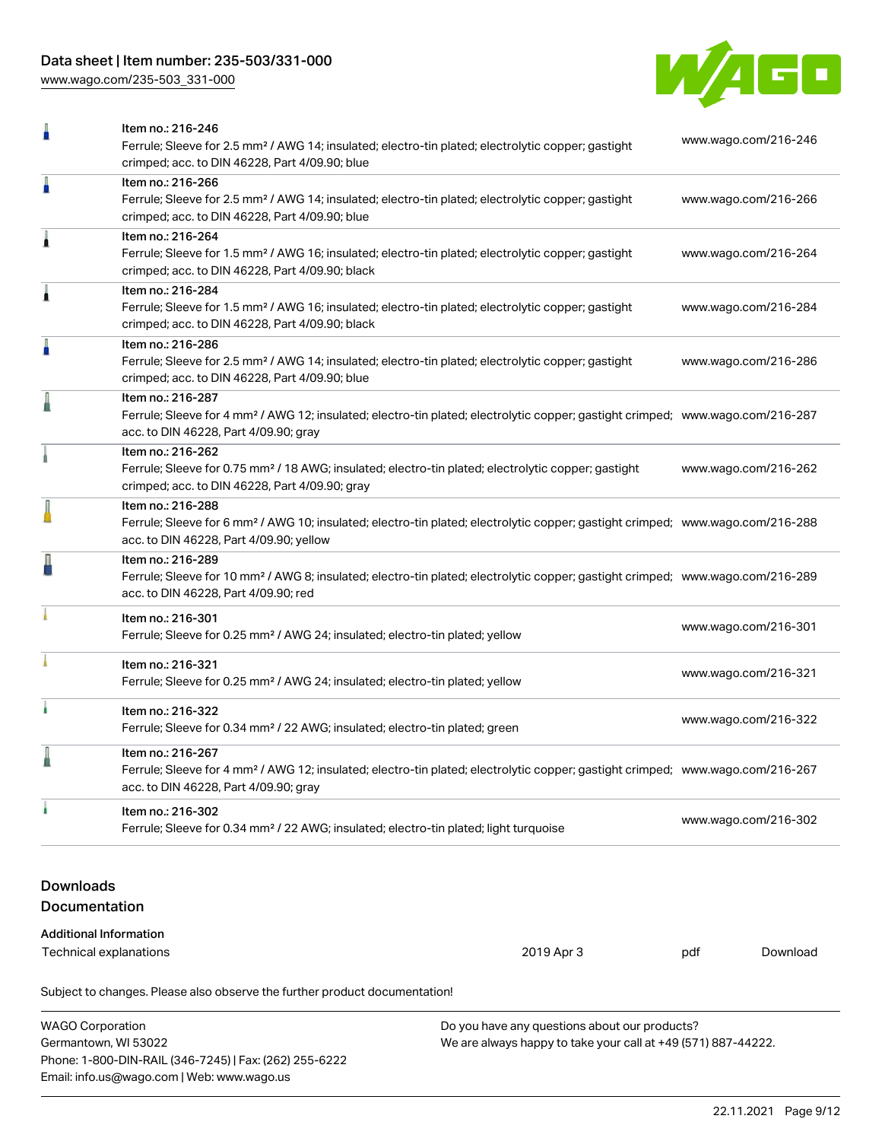[www.wago.com/235-503\\_331-000](http://www.wago.com/235-503_331-000)



|                                   | Item no.: 216-246<br>www.wago.com/216-246<br>Ferrule; Sleeve for 2.5 mm <sup>2</sup> / AWG 14; insulated; electro-tin plated; electrolytic copper; gastight<br>crimped; acc. to DIN 46228, Part 4/09.90; blue |            |                      |          |  |
|-----------------------------------|---------------------------------------------------------------------------------------------------------------------------------------------------------------------------------------------------------------|------------|----------------------|----------|--|
| ñ                                 | Item no.: 216-266<br>Ferrule; Sleeve for 2.5 mm <sup>2</sup> / AWG 14; insulated; electro-tin plated; electrolytic copper; gastight<br>crimped; acc. to DIN 46228, Part 4/09.90; blue                         |            | www.wago.com/216-266 |          |  |
| 1                                 | Item no.: 216-264<br>Ferrule; Sleeve for 1.5 mm <sup>2</sup> / AWG 16; insulated; electro-tin plated; electrolytic copper; gastight<br>crimped; acc. to DIN 46228, Part 4/09.90; black                        |            | www.wago.com/216-264 |          |  |
| 1                                 | Item no.: 216-284<br>Ferrule; Sleeve for 1.5 mm <sup>2</sup> / AWG 16; insulated; electro-tin plated; electrolytic copper; gastight<br>crimped; acc. to DIN 46228, Part 4/09.90; black                        |            | www.wago.com/216-284 |          |  |
| n                                 | Item no.: 216-286<br>Ferrule; Sleeve for 2.5 mm <sup>2</sup> / AWG 14; insulated; electro-tin plated; electrolytic copper; gastight<br>crimped; acc. to DIN 46228, Part 4/09.90; blue                         |            | www.wago.com/216-286 |          |  |
|                                   | Item no.: 216-287<br>Ferrule; Sleeve for 4 mm <sup>2</sup> / AWG 12; insulated; electro-tin plated; electrolytic copper; gastight crimped; www.wago.com/216-287<br>acc. to DIN 46228, Part 4/09.90; gray      |            |                      |          |  |
|                                   | Item no.: 216-262<br>Ferrule; Sleeve for 0.75 mm <sup>2</sup> / 18 AWG; insulated; electro-tin plated; electrolytic copper; gastight<br>crimped; acc. to DIN 46228, Part 4/09.90; gray                        |            | www.wago.com/216-262 |          |  |
|                                   | Item no.: 216-288<br>Ferrule; Sleeve for 6 mm <sup>2</sup> / AWG 10; insulated; electro-tin plated; electrolytic copper; gastight crimped; www.wago.com/216-288<br>acc. to DIN 46228, Part 4/09.90; yellow    |            |                      |          |  |
|                                   | Item no.: 216-289<br>Ferrule; Sleeve for 10 mm <sup>2</sup> / AWG 8; insulated; electro-tin plated; electrolytic copper; gastight crimped; www.wago.com/216-289<br>acc. to DIN 46228, Part 4/09.90; red       |            |                      |          |  |
|                                   | Item no.: 216-301<br>Ferrule; Sleeve for 0.25 mm <sup>2</sup> / AWG 24; insulated; electro-tin plated; yellow                                                                                                 |            | www.wago.com/216-301 |          |  |
|                                   | Item no.: 216-321<br>Ferrule; Sleeve for 0.25 mm <sup>2</sup> / AWG 24; insulated; electro-tin plated; yellow                                                                                                 |            | www.wago.com/216-321 |          |  |
|                                   | Item no.: 216-322<br>Ferrule; Sleeve for 0.34 mm <sup>2</sup> / 22 AWG; insulated; electro-tin plated; green                                                                                                  |            | www.wago.com/216-322 |          |  |
|                                   | Item no.: 216-267<br>Ferrule; Sleeve for 4 mm <sup>2</sup> / AWG 12; insulated; electro-tin plated; electrolytic copper; gastight crimped; www.wago.com/216-267<br>acc. to DIN 46228, Part 4/09.90; gray      |            |                      |          |  |
|                                   | Item no.: 216-302<br>Ferrule; Sleeve for 0.34 mm <sup>2</sup> / 22 AWG; insulated; electro-tin plated; light turquoise                                                                                        |            | www.wago.com/216-302 |          |  |
| <b>Downloads</b><br>Documentation |                                                                                                                                                                                                               |            |                      |          |  |
| <b>Additional Information</b>     |                                                                                                                                                                                                               |            |                      |          |  |
| <b>Technical explanations</b>     |                                                                                                                                                                                                               | 2019 Apr 3 | pdf                  | Download |  |
|                                   | Subject to changes. Please also observe the further product documentation!                                                                                                                                    |            |                      |          |  |

| <b>WAGO Corporation</b>                                | Do you have any questions about our products?                 |
|--------------------------------------------------------|---------------------------------------------------------------|
| Germantown, WI 53022                                   | We are always happy to take your call at +49 (571) 887-44222. |
| Phone: 1-800-DIN-RAIL (346-7245)   Fax: (262) 255-6222 |                                                               |
| Email: info.us@wago.com   Web: www.wago.us             |                                                               |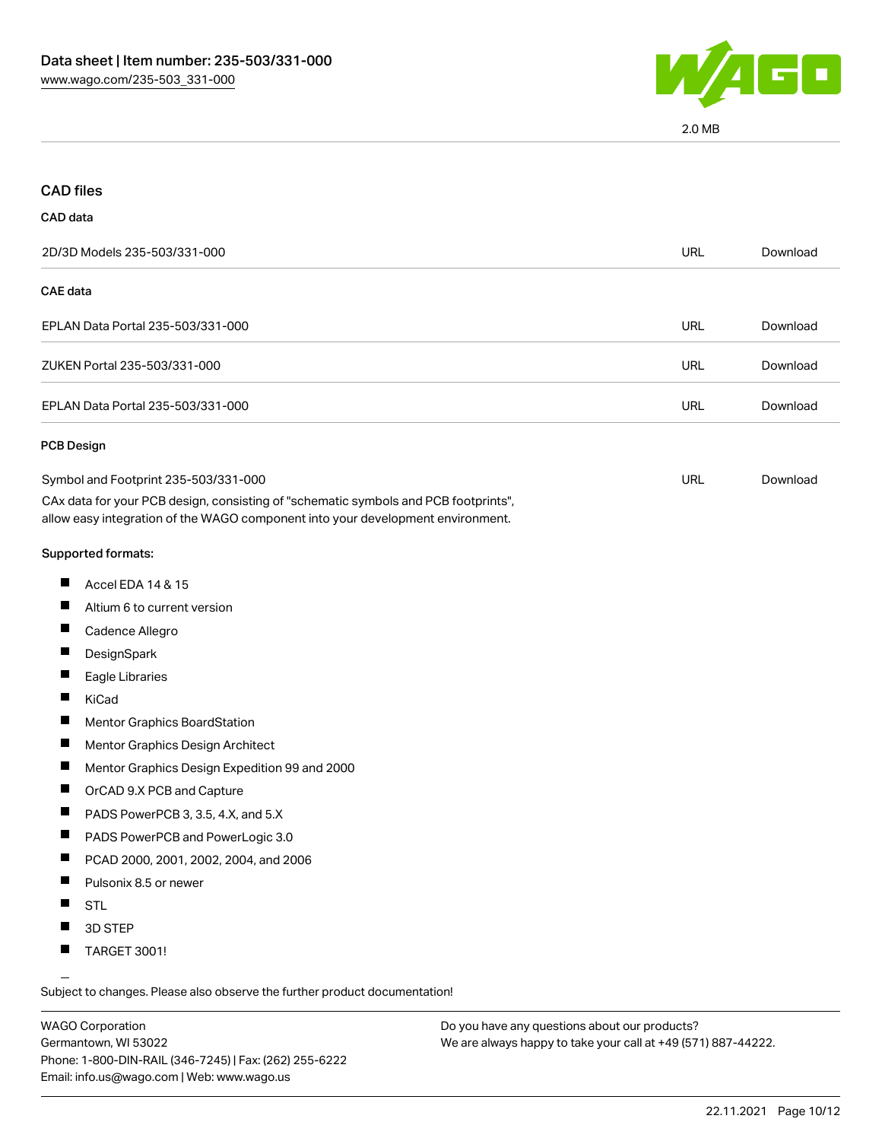

2.0 MB

| <b>CAD</b> files                                                                                                                                                                                               |            |          |
|----------------------------------------------------------------------------------------------------------------------------------------------------------------------------------------------------------------|------------|----------|
| CAD data                                                                                                                                                                                                       |            |          |
| 2D/3D Models 235-503/331-000                                                                                                                                                                                   | <b>URL</b> | Download |
| <b>CAE</b> data                                                                                                                                                                                                |            |          |
| EPLAN Data Portal 235-503/331-000                                                                                                                                                                              | <b>URL</b> | Download |
| ZUKEN Portal 235-503/331-000                                                                                                                                                                                   | <b>URL</b> | Download |
| EPLAN Data Portal 235-503/331-000                                                                                                                                                                              | <b>URL</b> | Download |
| <b>PCB Design</b>                                                                                                                                                                                              |            |          |
| Symbol and Footprint 235-503/331-000<br>CAx data for your PCB design, consisting of "schematic symbols and PCB footprints",<br>allow easy integration of the WAGO component into your development environment. | <b>URL</b> | Download |
| Supported formats:                                                                                                                                                                                             |            |          |
| ш<br>Accel EDA 14 & 15                                                                                                                                                                                         |            |          |
| Ш<br>Altium 6 to current version                                                                                                                                                                               |            |          |
| ш<br>Cadence Allegro                                                                                                                                                                                           |            |          |
| ш<br>DesignSpark                                                                                                                                                                                               |            |          |
| Ш<br>Eagle Libraries                                                                                                                                                                                           |            |          |
| ш<br>KiCad                                                                                                                                                                                                     |            |          |
| H.<br><b>Mentor Graphics BoardStation</b>                                                                                                                                                                      |            |          |
| Ш<br>Mentor Graphics Design Architect                                                                                                                                                                          |            |          |
| ш<br>Mentor Graphics Design Expedition 99 and 2000                                                                                                                                                             |            |          |
| Ш<br>OrCAD 9.X PCB and Capture                                                                                                                                                                                 |            |          |
| H.<br>PADS PowerPCB 3, 3.5, 4.X, and 5.X                                                                                                                                                                       |            |          |
| PADS PowerPCB and PowerLogic 3.0<br>ш                                                                                                                                                                          |            |          |
| PCAD 2000, 2001, 2002, 2004, and 2006                                                                                                                                                                          |            |          |
| Ш<br>Pulsonix 8.5 or newer                                                                                                                                                                                     |            |          |
| ш<br><b>STL</b>                                                                                                                                                                                                |            |          |
| 3D STEP                                                                                                                                                                                                        |            |          |
| ш<br>TARGET 3001!                                                                                                                                                                                              |            |          |

Subject to changes. Please also observe the further product documentation!

WAGO Corporation Germantown, WI 53022 Phone: 1-800-DIN-RAIL (346-7245) | Fax: (262) 255-6222 Email: info.us@wago.com | Web: www.wago.us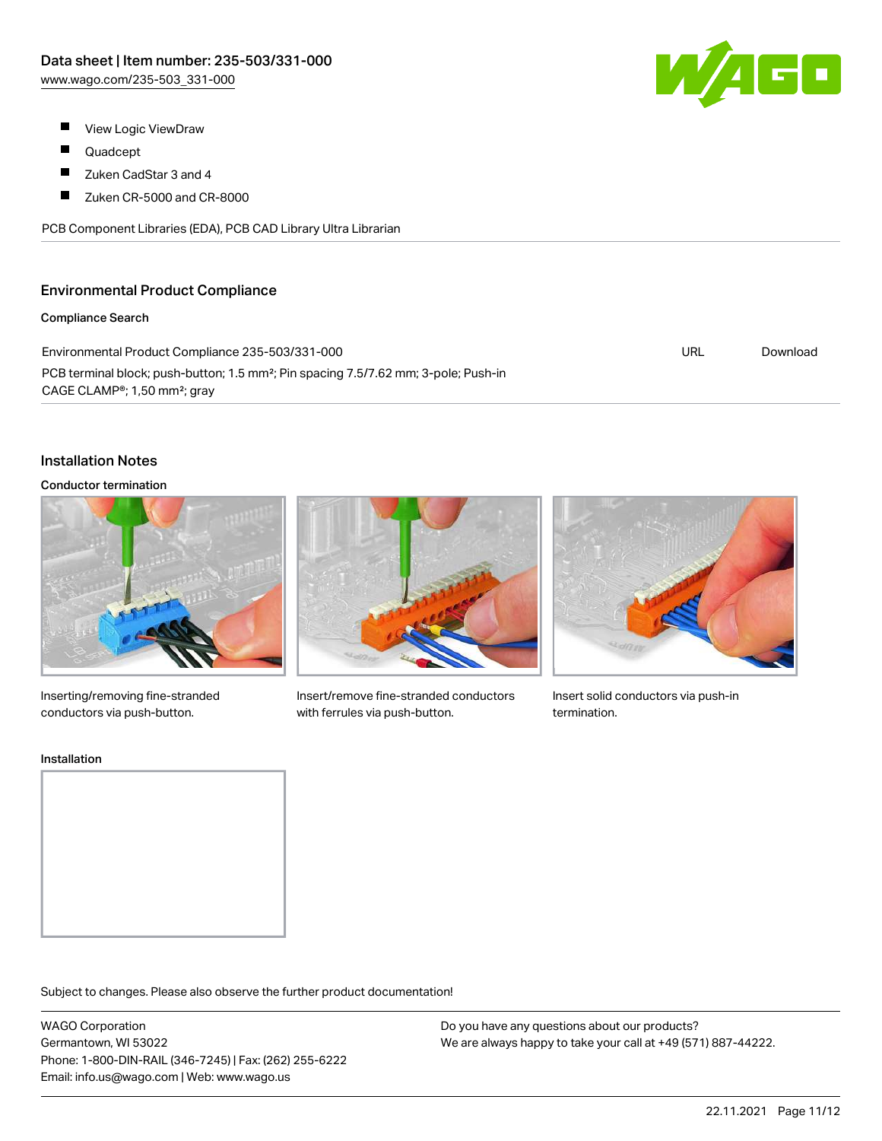- 
- $\blacksquare$ View Logic ViewDraw
- П Quadcept
- $\blacksquare$ Zuken CadStar 3 and 4
- $\blacksquare$ Zuken CR-5000 and CR-8000

PCB Component Libraries (EDA), PCB CAD Library Ultra Librarian

## Environmental Product Compliance

### Compliance Search

Environmental Product Compliance 235-503/331-000 PCB terminal block; push-button; 1.5 mm²; Pin spacing 7.5/7.62 mm; 3-pole; Push-in CAGE CLAMP®; 1,50 mm²; gray URL [Download](https://www.wago.com/global/d/ComplianceLinkMediaContainer_235-503_331-000)

## Installation Notes

#### Conductor termination



Inserting/removing fine-stranded conductors via push-button.



Insert/remove fine-stranded conductors with ferrules via push-button.



Insert solid conductors via push-in termination.

#### Installation





Subject to changes. Please also observe the further product documentation!

WAGO Corporation Germantown, WI 53022 Phone: 1-800-DIN-RAIL (346-7245) | Fax: (262) 255-6222 Email: info.us@wago.com | Web: www.wago.us